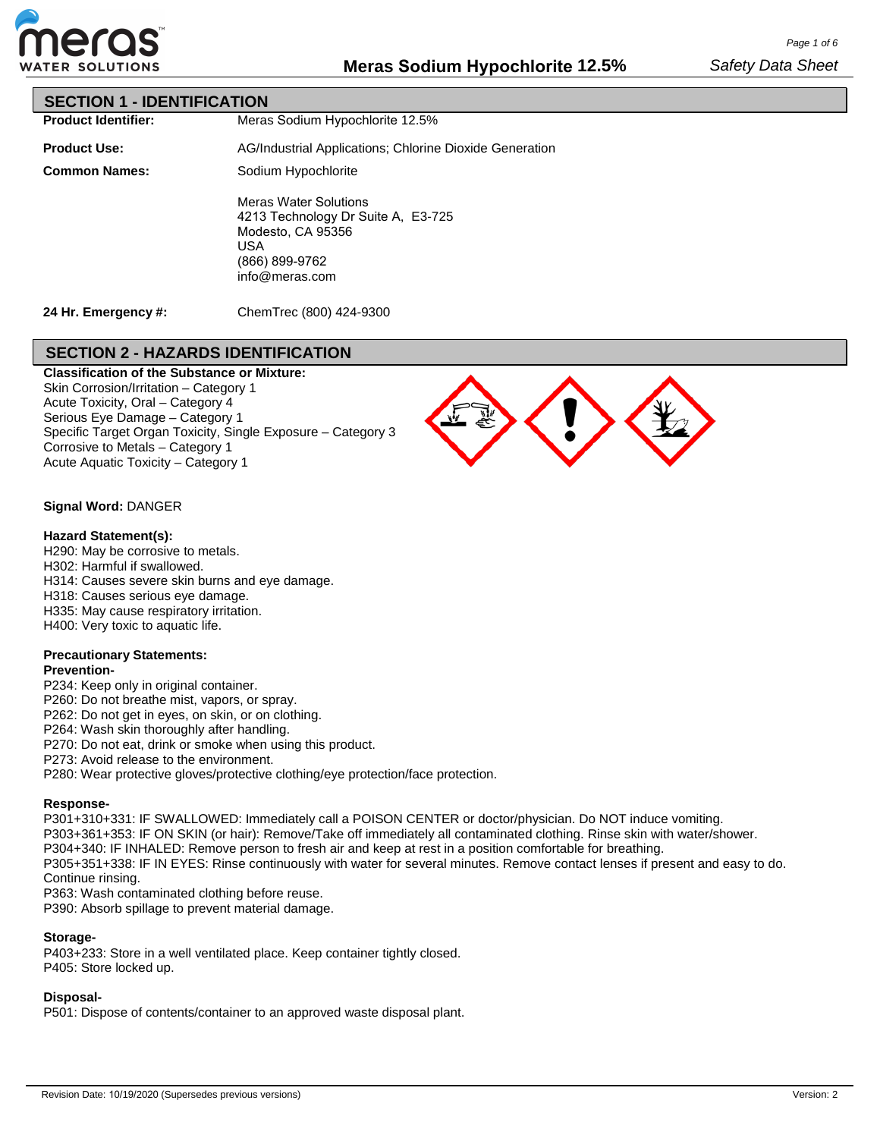

### **SECTION 1 - IDENTIFICATION**

**Product Identifier:**

Meras Sodium Hypochlorite 12.5%

**Product Use: Common Names:** AG/Industrial Applications; Chlorine Dioxide Generation Sodium Hypochlorite Meras Water Solutions 4213 Technology Dr Suite A, E3-725

Modesto, CA 95356 USA (866) 899-9762 info@meras.com

**24 Hr. Emergency #:**

ChemTrec (800) 424-9300

## **SECTION 2 - HAZARDS IDENTIFICATION**

**Classification of the Substance or Mixture:** Skin Corrosion/Irritation – Category 1 Acute Toxicity, Oral – Category 4 Serious Eye Damage – Category 1 Specific Target Organ Toxicity, Single Exposure – Category 3 Corrosive to Metals – Category 1 Acute Aquatic Toxicity – Category 1



### **Signal Word:** DANGER

#### **Hazard Statement(s):**

H290: May be corrosive to metals. H302: Harmful if swallowed.

H314: Causes severe skin burns and eye damage.

H318: Causes serious eye damage.

H335: May cause respiratory irritation.

H400: Very toxic to aquatic life.

### **Precautionary Statements:**

#### **Prevention-**

P234: Keep only in original container.

P260: Do not breathe mist, vapors, or spray.

P262: Do not get in eyes, on skin, or on clothing.

P264: Wash skin thoroughly after handling.

P270: Do not eat, drink or smoke when using this product.

P273: Avoid release to the environment.

P280: Wear protective gloves/protective clothing/eye protection/face protection.

### **Response-**

P301+310+331: IF SWALLOWED: Immediately call a POISON CENTER or doctor/physician. Do NOT induce vomiting. P303+361+353: IF ON SKIN (or hair): Remove/Take off immediately all contaminated clothing. Rinse skin with water/shower. P304+340: IF INHALED: Remove person to fresh air and keep at rest in a position comfortable for breathing. P305+351+338: IF IN EYES: Rinse continuously with water for several minutes. Remove contact lenses if present and easy to do. Continue rinsing.

P363: Wash contaminated clothing before reuse.

P390: Absorb spillage to prevent material damage.

### **Storage-**

P403+233: Store in a well ventilated place. Keep container tightly closed. P405: Store locked up.

### **Disposal-**

P501: Dispose of contents/container to an approved waste disposal plant.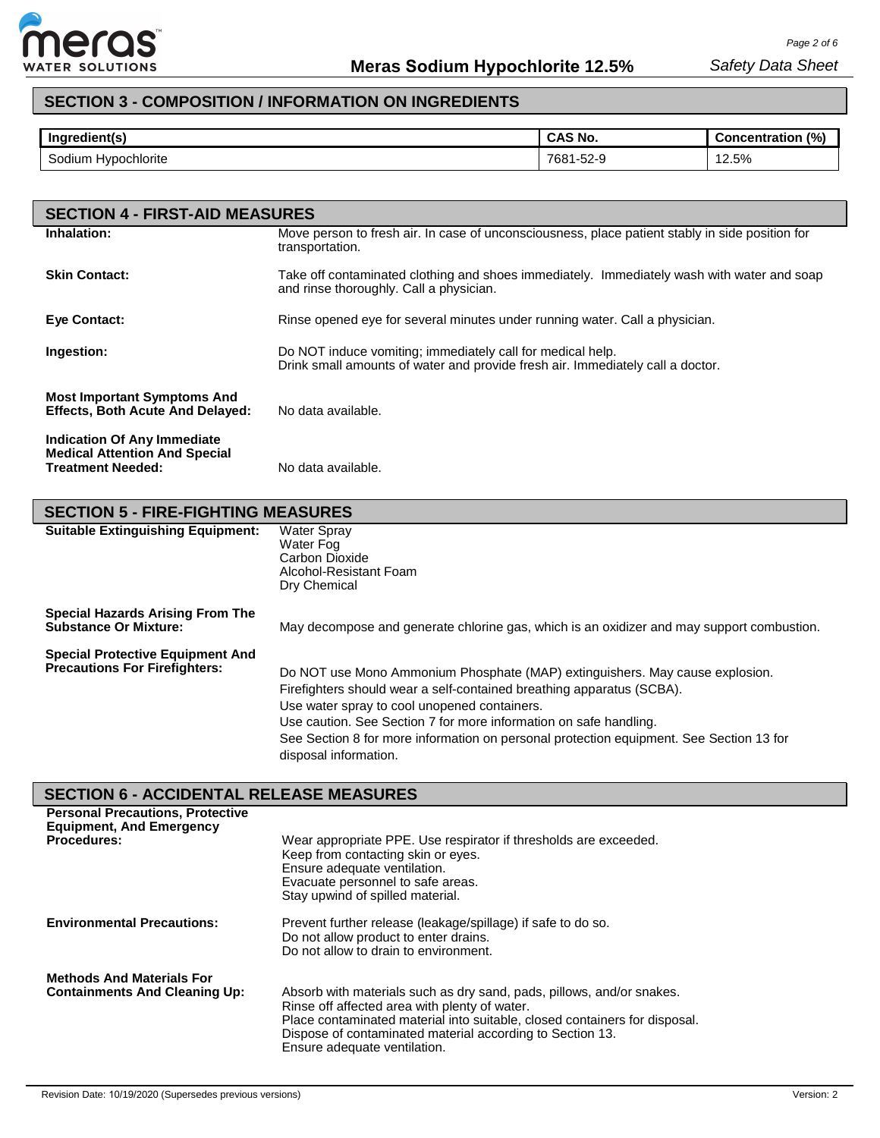

# **SECTION 3 - COMPOSITION / INFORMATION ON INGREDIENTS**

| Ingredient(s)          | <b>CAS No.</b> | (%)<br><b>Concentration</b> |
|------------------------|----------------|-----------------------------|
| Sodium<br>Hypochlorite | 7681-52-9      | 12.5%<br>$\sim$<br>$\sim$   |

| <b>SECTION 4 - FIRST-AID MEASURES</b>                                                                  |                                                                                                                                              |
|--------------------------------------------------------------------------------------------------------|----------------------------------------------------------------------------------------------------------------------------------------------|
| Inhalation:                                                                                            | Move person to fresh air. In case of unconsciousness, place patient stably in side position for<br>transportation.                           |
| <b>Skin Contact:</b>                                                                                   | Take off contaminated clothing and shoes immediately. Immediately wash with water and soap<br>and rinse thoroughly. Call a physician.        |
| <b>Eve Contact:</b>                                                                                    | Rinse opened eye for several minutes under running water. Call a physician.                                                                  |
| Ingestion:                                                                                             | Do NOT induce vomiting; immediately call for medical help.<br>Drink small amounts of water and provide fresh air. Immediately call a doctor. |
| <b>Most Important Symptoms And</b><br><b>Effects, Both Acute And Delayed:</b>                          | No data available.                                                                                                                           |
| <b>Indication Of Any Immediate</b><br><b>Medical Attention And Special</b><br><b>Treatment Needed:</b> | No data available.                                                                                                                           |

| <b>SECTION 5 - FIRE-FIGHTING MEASURES</b>                                       |                                                                                                                                                                                                                                                                                                                                                                                                |  |  |  |  |  |
|---------------------------------------------------------------------------------|------------------------------------------------------------------------------------------------------------------------------------------------------------------------------------------------------------------------------------------------------------------------------------------------------------------------------------------------------------------------------------------------|--|--|--|--|--|
| <b>Suitable Extinguishing Equipment:</b>                                        | Water Spray<br>Water Fog<br>Carbon Dioxide<br>Alcohol-Resistant Foam<br>Dry Chemical                                                                                                                                                                                                                                                                                                           |  |  |  |  |  |
| <b>Special Hazards Arising From The</b><br><b>Substance Or Mixture:</b>         | May decompose and generate chlorine gas, which is an oxidizer and may support combustion.                                                                                                                                                                                                                                                                                                      |  |  |  |  |  |
| <b>Special Protective Equipment And</b><br><b>Precautions For Firefighters:</b> | Do NOT use Mono Ammonium Phosphate (MAP) extinguishers. May cause explosion.<br>Firefighters should wear a self-contained breathing apparatus (SCBA).<br>Use water spray to cool unopened containers.<br>Use caution. See Section 7 for more information on safe handling.<br>See Section 8 for more information on personal protection equipment. See Section 13 for<br>disposal information. |  |  |  |  |  |

# **SECTION 6 - ACCIDENTAL RELEASE MEASURES**

| <b>Personal Precautions, Protective</b><br><b>Equipment, And Emergency</b><br><b>Procedures:</b> | Wear appropriate PPE. Use respirator if thresholds are exceeded.<br>Keep from contacting skin or eyes.<br>Ensure adequate ventilation.<br>Evacuate personnel to safe areas.<br>Stay upwind of spilled material.                                                                                   |
|--------------------------------------------------------------------------------------------------|---------------------------------------------------------------------------------------------------------------------------------------------------------------------------------------------------------------------------------------------------------------------------------------------------|
| <b>Environmental Precautions:</b>                                                                | Prevent further release (leakage/spillage) if safe to do so.<br>Do not allow product to enter drains.<br>Do not allow to drain to environment.                                                                                                                                                    |
| <b>Methods And Materials For</b><br><b>Containments And Cleaning Up:</b>                         | Absorb with materials such as dry sand, pads, pillows, and/or snakes.<br>Rinse off affected area with plenty of water.<br>Place contaminated material into suitable, closed containers for disposal.<br>Dispose of contaminated material according to Section 13.<br>Ensure adequate ventilation. |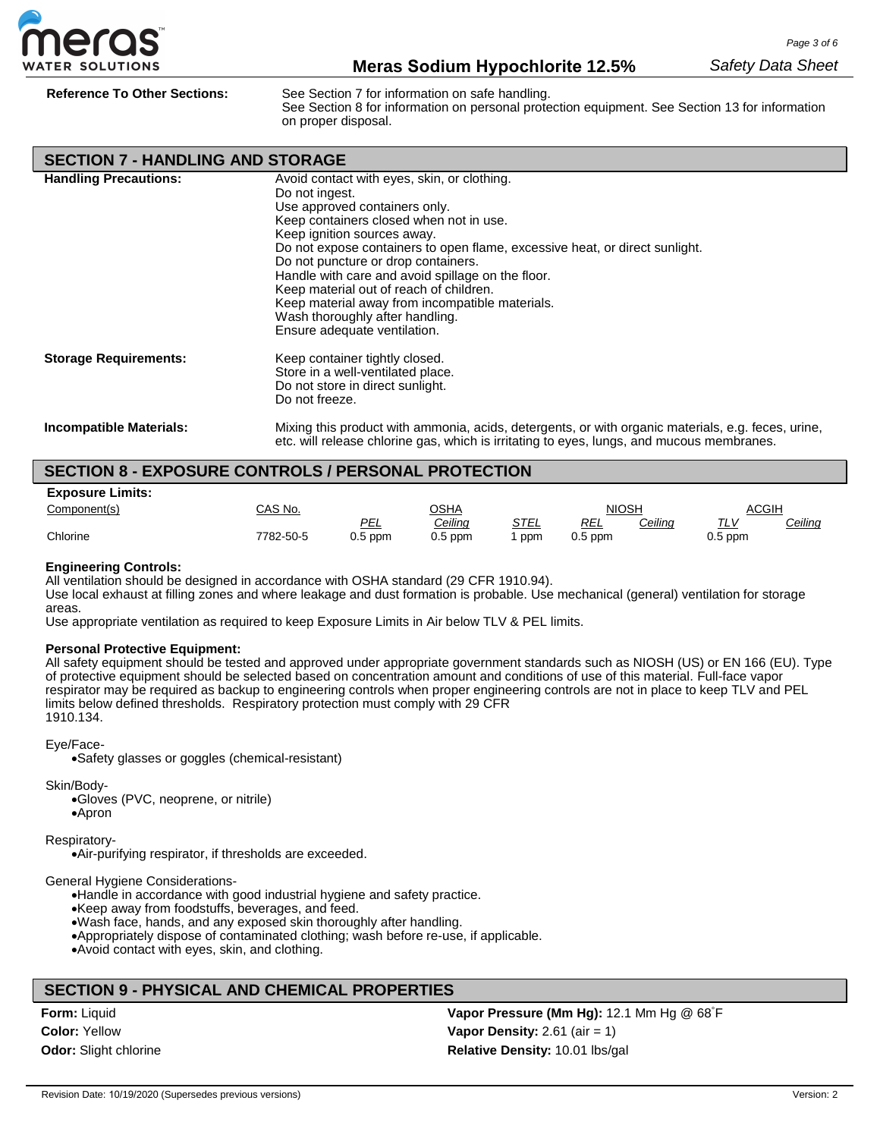

**Reference To Other Sections:** See Section 7 for information on safe handling.

See Section 8 for information on personal protection equipment. See Section 13 for information on proper disposal.

| <b>SECTION 7 - HANDLING AND STORAGE</b> |                                                                                                                                                                                                                                                                                                                                                                                                                                                                                                                      |
|-----------------------------------------|----------------------------------------------------------------------------------------------------------------------------------------------------------------------------------------------------------------------------------------------------------------------------------------------------------------------------------------------------------------------------------------------------------------------------------------------------------------------------------------------------------------------|
| <b>Handling Precautions:</b>            | Avoid contact with eyes, skin, or clothing.<br>Do not ingest.<br>Use approved containers only.<br>Keep containers closed when not in use.<br>Keep ignition sources away.<br>Do not expose containers to open flame, excessive heat, or direct sunlight.<br>Do not puncture or drop containers.<br>Handle with care and avoid spillage on the floor.<br>Keep material out of reach of children.<br>Keep material away from incompatible materials.<br>Wash thoroughly after handling.<br>Ensure adequate ventilation. |
| <b>Storage Requirements:</b>            | Keep container tightly closed.<br>Store in a well-ventilated place.<br>Do not store in direct sunlight.<br>Do not freeze.                                                                                                                                                                                                                                                                                                                                                                                            |
| <b>Incompatible Materials:</b>          | Mixing this product with ammonia, acids, detergents, or with organic materials, e.g. feces, urine,<br>etc. will release chlorine gas, which is irritating to eyes, lungs, and mucous membranes.                                                                                                                                                                                                                                                                                                                      |

### **SECTION 8 - EXPOSURE CONTROLS / PERSONAL PROTECTION**

| <b>Exposure Limits:</b> |           |           |             |             |            |         |           |         |
|-------------------------|-----------|-----------|-------------|-------------|------------|---------|-----------|---------|
| Component(s)            | CAS No.   |           | <u>OSHA</u> |             | NIOSH      |         | ACGIH     |         |
|                         |           | PEL       | Ceiling     | <u>STEL</u> | <u>REL</u> | Ceiling | TIV       | Ceiling |
| Chlorine                | 7782-50-5 | $0.5$ ppm | $0.5$ ppm   | ppm         | $0.5$ ppm  |         | $0.5$ ppm |         |

#### **Engineering Controls:**

All ventilation should be designed in accordance with OSHA standard (29 CFR 1910.94).

Use local exhaust at filling zones and where leakage and dust formation is probable. Use mechanical (general) ventilation for storage areas.

Use appropriate ventilation as required to keep Exposure Limits in Air below TLV & PEL limits.

### **Personal Protective Equipment:**

All safety equipment should be tested and approved under appropriate government standards such as NIOSH (US) or EN 166 (EU). Type of protective equipment should be selected based on concentration amount and conditions of use of this material. Full-face vapor respirator may be required as backup to engineering controls when proper engineering controls are not in place to keep TLV and PEL limits below defined thresholds. Respiratory protection must comply with 29 CFR 1910.134.

#### Eye/Face-

•Safety glasses or goggles (chemical-resistant)

Skin/Body-

•Gloves (PVC, neoprene, or nitrile) •Apron

Respiratory-

•Air-purifying respirator, if thresholds are exceeded.

General Hygiene Considerations-

•Handle in accordance with good industrial hygiene and safety practice.

•Keep away from foodstuffs, beverages, and feed.

•Wash face, hands, and any exposed skin thoroughly after handling.

•Appropriately dispose of contaminated clothing; wash before re-use, if applicable.

•Avoid contact with eyes, skin, and clothing.

### **SECTION 9 - PHYSICAL AND CHEMICAL PROPERTIES**

**Form:** Liquid **Color:** Yellow **Odor:** Slight chlorine

**Vapor Pressure (Mm Hg):** 12.1 Mm Hg @ 68° F **Vapor Density:** 2.61 (air = 1) **Relative Density:** 10.01 lbs/gal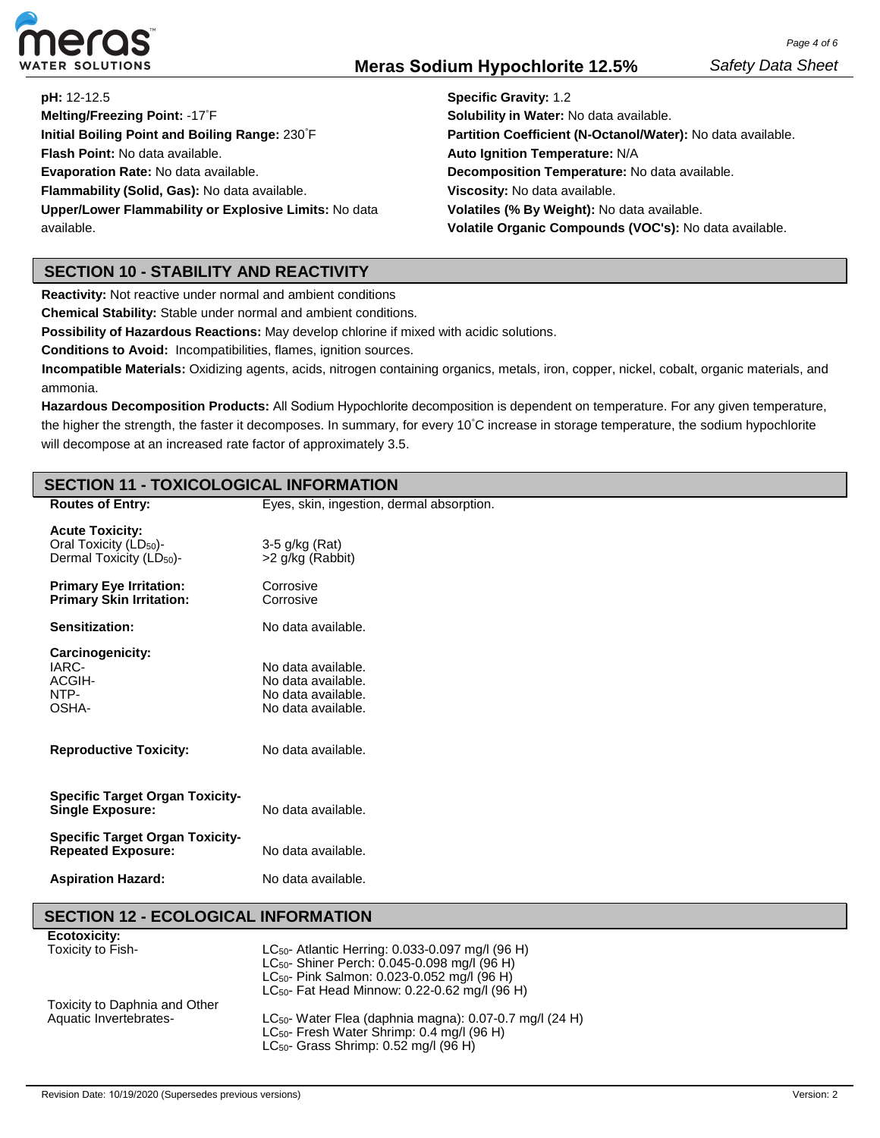

**pH:** 12-12.5

**Melting/Freezing Point:** -17° F **Initial Boiling Point and Boiling Range:** 230° F **Flash Point:** No data available. **Evaporation Rate:** No data available. **Flammability (Solid, Gas):** No data available. **Upper/Lower Flammability or Explosive Limits:** No data available.

**Specific Gravity:** 1.2 **Solubility in Water:** No data available. **Partition Coefficient (N-Octanol/Water):** No data available. **Auto Ignition Temperature:** N/A **Decomposition Temperature:** No data available. **Viscosity:** No data available. **Volatiles (% By Weight):** No data available. **Volatile Organic Compounds (VOC's):** No data available.

## **SECTION 10 - STABILITY AND REACTIVITY**

**Reactivity:** Not reactive under normal and ambient conditions

**Chemical Stability:** Stable under normal and ambient conditions.

**Possibility of Hazardous Reactions:** May develop chlorine if mixed with acidic solutions.

**Conditions to Avoid:** Incompatibilities, flames, ignition sources.

**Incompatible Materials:** Oxidizing agents, acids, nitrogen containing organics, metals, iron, copper, nickel, cobalt, organic materials, and ammonia.

**Hazardous Decomposition Products:** All Sodium Hypochlorite decomposition is dependent on temperature. For any given temperature, the higher the strength, the faster it decomposes. In summary, for every 10°C increase in storage temperature, the sodium hypochlorite will decompose at an increased rate factor of approximately 3.5.

### **SECTION 11 - TOXICOLOGICAL INFORMATION**

| <b>Routes of Entry:</b>                                                                              | Eyes, skin, ingestion, dermal absorption.                                            |
|------------------------------------------------------------------------------------------------------|--------------------------------------------------------------------------------------|
| <b>Acute Toxicity:</b><br>Oral Toxicity (LD <sub>50</sub> )-<br>Dermal Toxicity (LD <sub>50</sub> )- | $3-5$ g/kg (Rat)<br>>2 g/kg (Rabbit)                                                 |
| <b>Primary Eye Irritation:</b><br><b>Primary Skin Irritation:</b>                                    | Corrosive<br>Corrosive                                                               |
| Sensitization:                                                                                       | No data available.                                                                   |
| Carcinogenicity:<br>IARC-<br>ACGIH-<br>NTP-<br>OSHA-                                                 | No data available.<br>No data available.<br>No data available.<br>No data available. |
| <b>Reproductive Toxicity:</b>                                                                        | No data available.                                                                   |
| <b>Specific Target Organ Toxicity-</b><br><b>Single Exposure:</b>                                    | No data available.                                                                   |
| <b>Specific Target Organ Toxicity-</b><br><b>Repeated Exposure:</b>                                  | No data available.                                                                   |
| <b>Aspiration Hazard:</b>                                                                            | No data available.                                                                   |

### **SECTION 12 - ECOLOGICAL INFORMATION**

| <b>Ecotoxicity:</b>           |                                                                     |
|-------------------------------|---------------------------------------------------------------------|
| Toxicity to Fish-             | LC <sub>50</sub> - Atlantic Herring: 0.033-0.097 mg/l (96 H)        |
|                               | LC <sub>50</sub> - Shiner Perch: 0.045-0.098 mg/l (96 H)            |
|                               | LC <sub>50</sub> - Pink Salmon: 0.023-0.052 mg/l (96 H)             |
|                               | LC <sub>50</sub> - Fat Head Minnow: 0.22-0.62 mg/l (96 H)           |
| Toxicity to Daphnia and Other |                                                                     |
| Aquatic Invertebrates-        | LC <sub>50</sub> - Water Flea (daphnia magna): 0.07-0.7 mg/l (24 H) |
|                               | LC <sub>50</sub> - Fresh Water Shrimp: 0.4 mg/l (96 H)              |
|                               | LC <sub>50</sub> - Grass Shrimp: $0.52$ mg/l ( $96$ H)              |
|                               |                                                                     |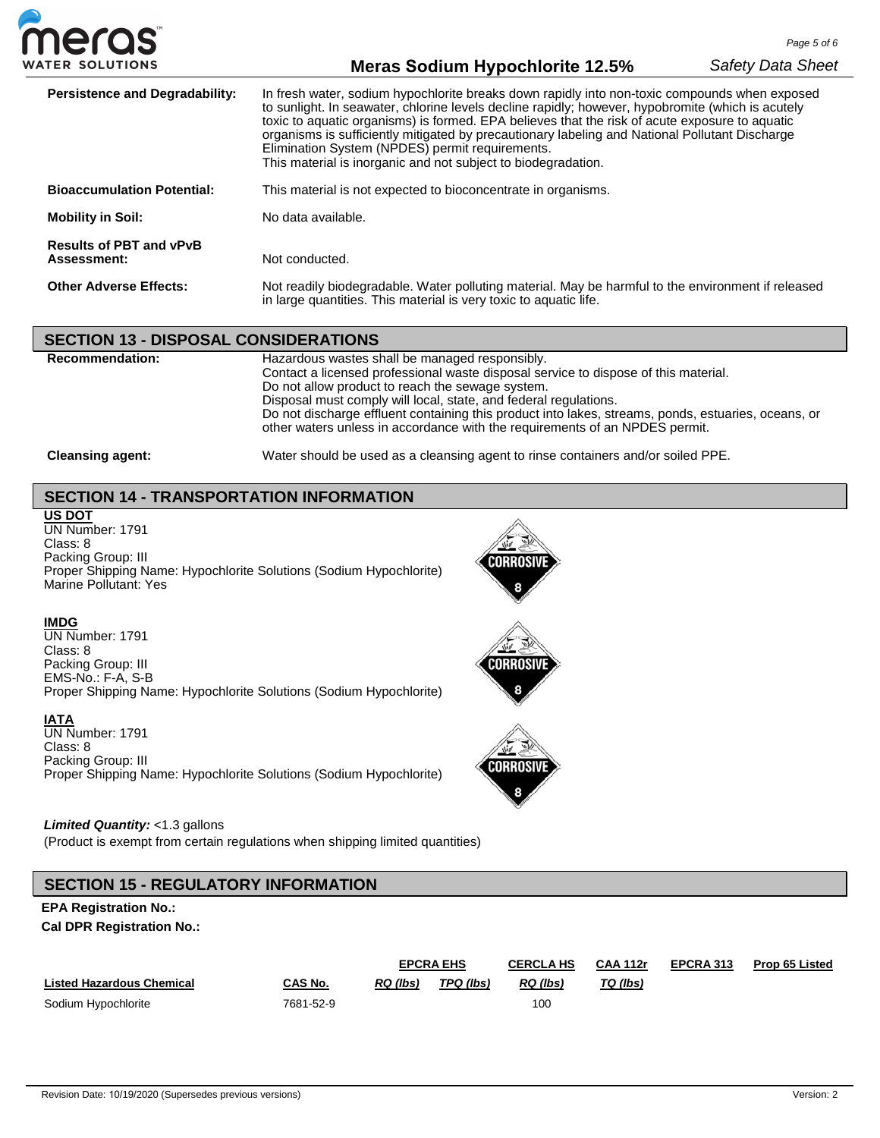

| <b>Persistence and Degradability:</b>                                                                                                                                                                    | In fresh water, sodium hypochlorite breaks down rapidly into non-toxic compounds when exposed<br>to sunlight. In seawater, chlorine levels decline rapidly; however, hypobromite (which is acutely<br>toxic to aquatic organisms) is formed. EPA believes that the risk of acute exposure to aquatic<br>organisms is sufficiently mitigated by precautionary labeling and National Pollutant Discharge<br>Elimination System (NPDES) permit requirements.<br>This material is inorganic and not subject to biodegradation. |
|----------------------------------------------------------------------------------------------------------------------------------------------------------------------------------------------------------|----------------------------------------------------------------------------------------------------------------------------------------------------------------------------------------------------------------------------------------------------------------------------------------------------------------------------------------------------------------------------------------------------------------------------------------------------------------------------------------------------------------------------|
| <b>Bioaccumulation Potential:</b>                                                                                                                                                                        | This material is not expected to bioconcentrate in organisms.                                                                                                                                                                                                                                                                                                                                                                                                                                                              |
| <b>Mobility in Soil:</b>                                                                                                                                                                                 | No data available.                                                                                                                                                                                                                                                                                                                                                                                                                                                                                                         |
| <b>Results of PBT and vPvB</b><br>Assessment:                                                                                                                                                            | Not conducted.                                                                                                                                                                                                                                                                                                                                                                                                                                                                                                             |
| Not readily biodegradable. Water polluting material. May be harmful to the environment if released<br><b>Other Adverse Effects:</b><br>in large quantities. This material is very toxic to aquatic life. |                                                                                                                                                                                                                                                                                                                                                                                                                                                                                                                            |

### **SECTION 13 - DISPOSAL CONSIDERATIONS**

| <b>Recommendation:</b>  | Hazardous wastes shall be managed responsibly.<br>Contact a licensed professional waste disposal service to dispose of this material.<br>Do not allow product to reach the sewage system.<br>Disposal must comply will local, state, and federal regulations.<br>Do not discharge effluent containing this product into lakes, streams, ponds, estuaries, oceans, or<br>other waters unless in accordance with the requirements of an NPDES permit. |
|-------------------------|-----------------------------------------------------------------------------------------------------------------------------------------------------------------------------------------------------------------------------------------------------------------------------------------------------------------------------------------------------------------------------------------------------------------------------------------------------|
| <b>Cleansing agent:</b> | Water should be used as a cleansing agent to rinse containers and/or soiled PPE.                                                                                                                                                                                                                                                                                                                                                                    |

## **SECTION 14 - TRANSPORTATION INFORMATION**

**US DOT** UN Number: 1791 Class: 8 Packing Group: III Proper Shipping Name: Hypochlorite Solutions (Sodium Hypochlorite) Marine Pollutant: Yes



Corrosiv

### **IMDG**

UN Number: 1791 Class: 8 Packing Group: III EMS-No.: F-A, S-B Proper Shipping Name: Hypochlorite Solutions (Sodium Hypochlorite)

### **IATA**

UN Number: 1791 Class: 8 Packing Group: III Proper Shipping Name: Hypochlorite Solutions (Sodium Hypochlorite)

### *Limited Quantity:* <1.3 gallons

(Product is exempt from certain regulations when shipping limited quantities)

### **SECTION 15 - REGULATORY INFORMATION**

### **EPA Registration No.:**

**Cal DPR Registration No.:**

|                                  |           | <b>EPCRA EHS</b> |           | <b>CERCLA HS</b> | <b>CAA 112r</b> | EPCRA 313 | <b>Prop 65 Listed</b> |
|----------------------------------|-----------|------------------|-----------|------------------|-----------------|-----------|-----------------------|
| <b>Listed Hazardous Chemical</b> | CAS No.   | RQ (lbs)         | TPQ (lbs) | RQ (lbs)         | TQ (lbs)        |           |                       |
| Sodium Hypochlorite              | 7681-52-9 |                  |           | 100              |                 |           |                       |